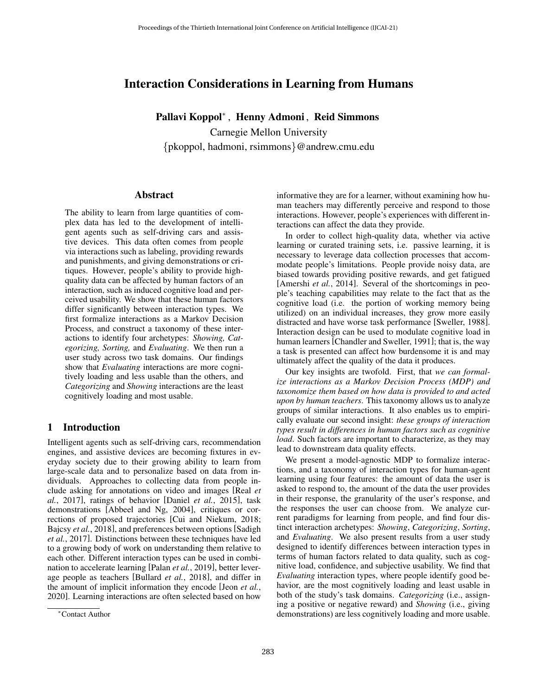# Interaction Considerations in Learning from Humans

Pallavi Koppol<sup>∗</sup> , Henny Admoni , Reid Simmons

Carnegie Mellon University {pkoppol, hadmoni, rsimmons}@andrew.cmu.edu

### Abstract

The ability to learn from large quantities of complex data has led to the development of intelligent agents such as self-driving cars and assistive devices. This data often comes from people via interactions such as labeling, providing rewards and punishments, and giving demonstrations or critiques. However, people's ability to provide highquality data can be affected by human factors of an interaction, such as induced cognitive load and perceived usability. We show that these human factors differ significantly between interaction types. We first formalize interactions as a Markov Decision Process, and construct a taxonomy of these interactions to identify four archetypes: *Showing, Categorizing, Sorting,* and *Evaluating*. We then run a user study across two task domains. Our findings show that *Evaluating* interactions are more cognitively loading and less usable than the others, and *Categorizing* and *Showing* interactions are the least cognitively loading and most usable.

# 1 Introduction

Intelligent agents such as self-driving cars, recommendation engines, and assistive devices are becoming fixtures in everyday society due to their growing ability to learn from large-scale data and to personalize based on data from individuals. Approaches to collecting data from people include asking for annotations on video and images [\[Real](#page-8-0) *et al.*[, 2017\]](#page-8-0), ratings of behavior [Daniel *et al.*[, 2015\]](#page-7-0), task demonstrations [\[Abbeel and Ng, 2004\]](#page-7-1), critiques or corrections of proposed trajectories [\[Cui and Niekum, 2018;](#page-7-2) Bajcsy *et al.*[, 2018\]](#page-7-3), and preferences between options [\[Sadigh](#page-8-1) *et al.*[, 2017\]](#page-8-1). Distinctions between these techniques have led to a growing body of work on understanding them relative to each other. Different interaction types can be used in combination to accelerate learning [Palan *et al.*[, 2019\]](#page-8-2), better leverage people as teachers [\[Bullard](#page-7-4) *et al.*, 2018], and differ in the amount of implicit information they encode [Jeon *[et al.](#page-8-3)*, [2020\]](#page-8-3). Learning interactions are often selected based on how informative they are for a learner, without examining how human teachers may differently perceive and respond to those interactions. However, people's experiences with different interactions can affect the data they provide.

In order to collect high-quality data, whether via active learning or curated training sets, i.e. passive learning, it is necessary to leverage data collection processes that accommodate people's limitations. People provide noisy data, are biased towards providing positive rewards, and get fatigued [\[Amershi](#page-7-5) *et al.*, 2014]. Several of the shortcomings in people's teaching capabilities may relate to the fact that as the cognitive load (i.e. the portion of working memory being utilized) on an individual increases, they grow more easily distracted and have worse task performance [\[Sweller, 1988\]](#page-8-4). Interaction design can be used to modulate cognitive load in human learners [\[Chandler and Sweller, 1991\]](#page-7-6); that is, the way a task is presented can affect how burdensome it is and may ultimately affect the quality of the data it produces.

Our key insights are twofold. First, that *we can formalize interactions as a Markov Decision Process (MDP) and taxonomize them based on how data is provided to and acted upon by human teachers*. This taxonomy allows us to analyze groups of similar interactions. It also enables us to empirically evaluate our second insight: *these groups of interaction types result in differences in human factors such as cognitive load*. Such factors are important to characterize, as they may lead to downstream data quality effects.

We present a model-agnostic MDP to formalize interactions, and a taxonomy of interaction types for human-agent learning using four features: the amount of data the user is asked to respond to, the amount of the data the user provides in their response, the granularity of the user's response, and the responses the user can choose from. We analyze current paradigms for learning from people, and find four distinct interaction archetypes: *Showing*, *Categorizing*, *Sorting*, and *Evaluating*. We also present results from a user study designed to identify differences between interaction types in terms of human factors related to data quality, such as cognitive load, confidence, and subjective usability. We find that *Evaluating* interaction types, where people identify good behavior, are the most cognitively loading and least usable in both of the study's task domains. *Categorizing* (i.e., assigning a positive or negative reward) and *Showing* (i.e., giving demonstrations) are less cognitively loading and more usable.

<sup>∗</sup>Contact Author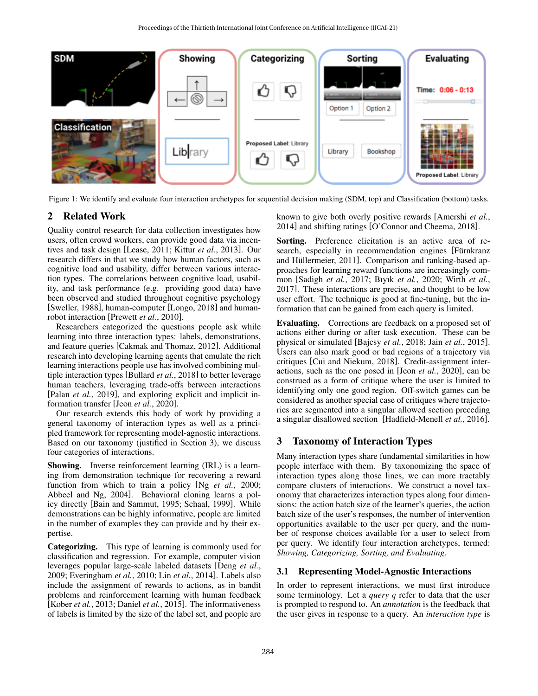<span id="page-1-1"></span>

Figure 1: We identify and evaluate four interaction archetypes for sequential decision making (SDM, top) and Classification (bottom) tasks.

# 2 Related Work

Quality control research for data collection investigates how users, often crowd workers, can provide good data via incentives and task design [\[Lease, 2011;](#page-8-5) Kittur *et al.*[, 2013\]](#page-8-6). Our research differs in that we study how human factors, such as cognitive load and usability, differ between various interaction types. The correlations between cognitive load, usability, and task performance (e.g. providing good data) have been observed and studied throughout cognitive psychology [\[Sweller, 1988\]](#page-8-4), human-computer [\[Longo, 2018\]](#page-8-7) and humanrobot interaction [\[Prewett](#page-8-8) *et al.*, 2010].

Researchers categorized the questions people ask while learning into three interaction types: labels, demonstrations, and feature queries [\[Cakmak and Thomaz, 2012\]](#page-7-7). Additional research into developing learning agents that emulate the rich learning interactions people use has involved combining multiple interaction types [\[Bullard](#page-7-4) *et al.*, 2018] to better leverage human teachers, leveraging trade-offs between interactions [Palan *et al.*[, 2019\]](#page-8-2), and exploring explicit and implicit information transfer [Jeon *et al.*[, 2020\]](#page-8-3).

Our research extends this body of work by providing a general taxonomy of interaction types as well as a principled framework for representing model-agnostic interactions. Based on our taxonomy (justified in Section [3\)](#page-1-0), we discuss four categories of interactions.

Showing. Inverse reinforcement learning (IRL) is a learning from demonstration technique for recovering a reward function from which to train a policy [Ng *et al.*[, 2000;](#page-8-9) [Abbeel and Ng, 2004\]](#page-7-1). Behavioral cloning learns a policy directly [\[Bain and Sammut, 1995;](#page-7-8) [Schaal, 1999\]](#page-8-10). While demonstrations can be highly informative, people are limited in the number of examples they can provide and by their expertise.

Categorizing. This type of learning is commonly used for classification and regression. For example, computer vision leverages popular large-scale labeled datasets [\[Deng](#page-7-9) *et al.*, [2009;](#page-7-9) [Everingham](#page-7-10) *et al.*, 2010; Lin *et al.*[, 2014\]](#page-8-11). Labels also include the assignment of rewards to actions, as in bandit problems and reinforcement learning with human feedback [\[Kober](#page-8-12) *et al.*, 2013; Daniel *et al.*[, 2015\]](#page-7-0). The informativeness of labels is limited by the size of the label set, and people are

known to give both overly positive rewards [\[Amershi](#page-7-5) *et al.*, [2014\]](#page-7-5) and shifting ratings [\[O'Connor and Cheema, 2018\]](#page-8-13).

Sorting. Preference elicitation is an active area of research, especially in recommendation engines [Fürnkranz] and Hüllermeier, 2011]. Comparison and ranking-based approaches for learning reward functions are increasingly common [\[Sadigh](#page-8-1) *et al.*, 2017; Bıyık *et al.*[, 2020;](#page-7-11) [Wirth](#page-8-15) *et al.*, [2017\]](#page-8-15). These interactions are precise, and thought to be low user effort. The technique is good at fine-tuning, but the information that can be gained from each query is limited.

Evaluating. Corrections are feedback on a proposed set of actions either during or after task execution. These can be physical or simulated [\[Bajcsy](#page-7-3) *et al.*, 2018; Jain *et al.*[, 2015\]](#page-8-16). Users can also mark good or bad regions of a trajectory via critiques [\[Cui and Niekum, 2018\]](#page-7-2). Credit-assignment interactions, such as the one posed in [Jeon *et al.*[, 2020\]](#page-8-3), can be construed as a form of critique where the user is limited to identifying only one good region. Off-switch games can be considered as another special case of critiques where trajectories are segmented into a singular allowed section preceding a singular disallowed section [\[Hadfield-Menell](#page-8-17) *et al.*, 2016].

## <span id="page-1-0"></span>3 Taxonomy of Interaction Types

Many interaction types share fundamental similarities in how people interface with them. By taxonomizing the space of interaction types along those lines, we can more tractably compare clusters of interactions. We construct a novel taxonomy that characterizes interaction types along four dimensions: the action batch size of the learner's queries, the action batch size of the user's responses, the number of intervention opportunities available to the user per query, and the number of response choices available for a user to select from per query. We identify four interaction archetypes, termed: *Showing, Categorizing, Sorting, and Evaluating*.

#### 3.1 Representing Model-Agnostic Interactions

In order to represent interactions, we must first introduce some terminology. Let a *query* q refer to data that the user is prompted to respond to. An *annotation* is the feedback that the user gives in response to a query. An *interaction type* is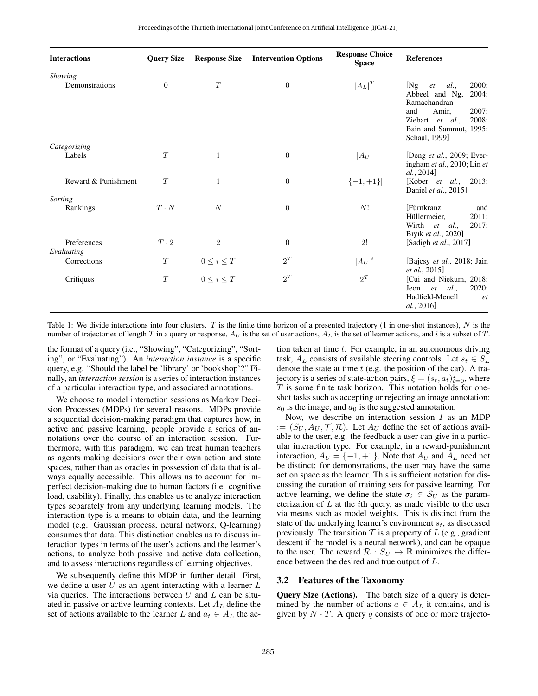| <b>Interactions</b>              | <b>Query Size</b> | <b>Response Size</b> | <b>Intervention Options</b> | <b>Response Choice</b><br><b>Space</b> | <b>References</b>                                                                                                                                                      |
|----------------------------------|-------------------|----------------------|-----------------------------|----------------------------------------|------------------------------------------------------------------------------------------------------------------------------------------------------------------------|
| <b>Showing</b><br>Demonstrations | $\theta$          | T                    | $\boldsymbol{0}$            | $ A_L ^T$                              | 2000:<br>[Ng]<br>et<br>al.,<br>Abbeel and Ng,<br>2004:<br>Ramachandran<br>and<br>2007;<br>Amir,<br>Ziebart et al.,<br>2008:<br>Bain and Sammut, 1995;<br>Schaal, 1999] |
| Categorizing                     |                   |                      |                             |                                        |                                                                                                                                                                        |
| Labels                           | T                 | $\mathbf{1}$         | $\overline{0}$              | $ A_U $                                | [Deng et al., 2009; Ever-<br>ingham et al., 2010; Lin et<br>al., 2014]                                                                                                 |
| Reward & Punishment              | T                 | 1                    | $\boldsymbol{0}$            | $\vert \{-1,+1\} \vert$                | [Kober <i>et al.</i> , 2013;<br>Daniel et al., 2015]                                                                                                                   |
| Sorting<br>Rankings              | $T \cdot N$       | N                    | $\theta$                    | N!                                     | <b>Fürnkranz</b><br>and<br>Hüllermeier,<br>2011;<br>2017;<br>Wirth et al.,<br>Biyik et al., 2020]                                                                      |
| Preferences<br>Evaluating        | $T \cdot 2$       | $\overline{2}$       | $\theta$                    | 2!                                     | [Sadigh et al., 2017]                                                                                                                                                  |
| Corrections                      | T                 | $0\leq i\leq T$      | $2^T$                       | $ A_U ^i$                              | [Bajcsy et al., 2018; Jain<br><i>et al.</i> , 2015]                                                                                                                    |
| Critiques                        | T                 | $0\leq i\leq T$      | $2^{\scriptscriptstyle T}$  | $2^{\scriptscriptstyle T}$             | [Cui and Niekum, 2018;<br>2020:<br>al.<br>Jeon<br>et<br>Hadfield-Menell<br><sup>et</sup><br>al., 2016                                                                  |

Table 1: We divide interactions into four clusters. T is the finite time horizon of a presented trajectory (1 in one-shot instances),  $N$  is the number of trajectories of length T in a query or response,  $A_U$  is the set of user actions,  $A_L$  is the set of learner actions, and i is a subset of T.

the format of a query (i.e., "Showing", "Categorizing", "Sorting", or "Evaluating"). An *interaction instance* is a specific query, e.g. "Should the label be 'library' or 'bookshop'?" Finally, an *interaction session* is a series of interaction instances of a particular interaction type, and associated annotations.

We choose to model interaction sessions as Markov Decision Processes (MDPs) for several reasons. MDPs provide a sequential decision-making paradigm that captures how, in active and passive learning, people provide a series of annotations over the course of an interaction session. Furthermore, with this paradigm, we can treat human teachers as agents making decisions over their own action and state spaces, rather than as oracles in possession of data that is always equally accessible. This allows us to account for imperfect decision-making due to human factors (i.e. cognitive load, usability). Finally, this enables us to analyze interaction types separately from any underlying learning models. The interaction type is a means to obtain data, and the learning model (e.g. Gaussian process, neural network, Q-learning) consumes that data. This distinction enables us to discuss interaction types in terms of the user's actions and the learner's actions, to analyze both passive and active data collection, and to assess interactions regardless of learning objectives.

We subsequently define this MDP in further detail. First, we define a user  $U$  as an agent interacting with a learner  $L$ via queries. The interactions between  $U$  and  $L$  can be situated in passive or active learning contexts. Let  $A_L$  define the set of actions available to the learner L and  $a_t \in A_L$  the action taken at time  $t$ . For example, in an autonomous driving task,  $A_L$  consists of available steering controls. Let  $s_t \in S_L$ denote the state at time  $t$  (e.g. the position of the car). A trajectory is a series of state-action pairs,  $\xi = (s_t, a_t)_{t=0}^T$ , where  $T$  is some finite task horizon. This notation holds for oneshot tasks such as accepting or rejecting an image annotation:  $s_0$  is the image, and  $a_0$  is the suggested annotation.

Now, we describe an interaction session  $I$  as an MDP  $:= (S_U, A_U, \mathcal{T}, \mathcal{R})$ . Let  $A_U$  define the set of actions available to the user, e.g. the feedback a user can give in a particular interaction type. For example, in a reward-punishment interaction,  $A_U = \{-1, +1\}$ . Note that  $A_U$  and  $A_L$  need not be distinct: for demonstrations, the user may have the same action space as the learner. This is sufficient notation for discussing the curation of training sets for passive learning. For active learning, we define the state  $\sigma_i \in S_U$  as the parameterization of  $L$  at the *i*th query, as made visible to the user via means such as model weights. This is distinct from the state of the underlying learner's environment  $s_t$ , as discussed previously. The transition  $\mathcal T$  is a property of L (e.g., gradient descent if the model is a neural network), and can be opaque to the user. The reward  $\mathcal{R} : S_U \mapsto \mathbb{R}$  minimizes the difference between the desired and true output of L.

#### 3.2 Features of the Taxonomy

Query Size (Actions). The batch size of a query is determined by the number of actions  $a \in A_L$  it contains, and is given by  $N \cdot T$ . A query q consists of one or more trajecto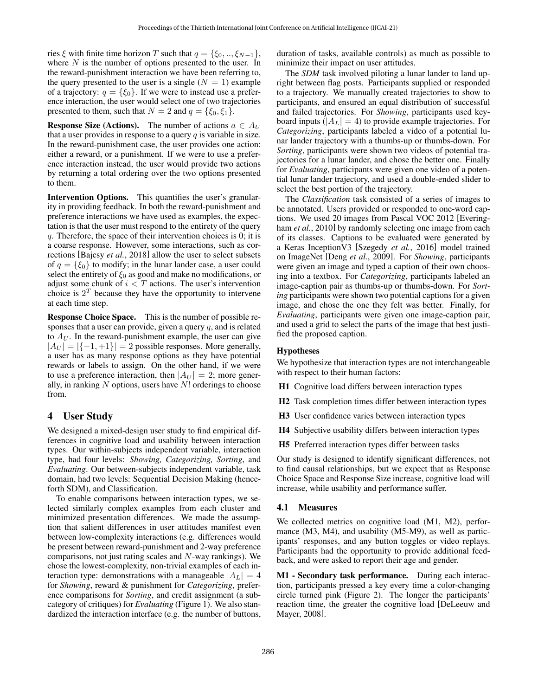ries  $\xi$  with finite time horizon T such that  $q = \{\xi_0, ..., \xi_{N-1}\},$ where  $N$  is the number of options presented to the user. In the reward-punishment interaction we have been referring to, the query presented to the user is a single  $(N = 1)$  example of a trajectory:  $q = \{\xi_0\}$ . If we were to instead use a preference interaction, the user would select one of two trajectories presented to them, such that  $N = 2$  and  $q = \{\xi_0, \xi_1\}.$ 

**Response Size (Actions).** The number of actions  $a \in A_U$ that a user provides in response to a query  $q$  is variable in size. In the reward-punishment case, the user provides one action: either a reward, or a punishment. If we were to use a preference interaction instead, the user would provide two actions by returning a total ordering over the two options presented to them.

Intervention Options. This quantifies the user's granularity in providing feedback. In both the reward-punishment and preference interactions we have used as examples, the expectation is that the user must respond to the entirety of the query q. Therefore, the space of their intervention choices is 0; it is a coarse response. However, some interactions, such as corrections [\[Bajcsy](#page-7-3) *et al.*, 2018] allow the user to select subsets of  $q = \{\xi_0\}$  to modify; in the lunar lander case, a user could select the entirety of  $\xi_0$  as good and make no modifications, or adjust some chunk of  $i < T$  actions. The user's intervention choice is  $2<sup>T</sup>$  because they have the opportunity to intervene at each time step.

Response Choice Space. This is the number of possible responses that a user can provide, given a query  $q$ , and is related to  $A_U$ . In the reward-punishment example, the user can give  $|A_U| = |\{-1, +1\}| = 2$  possible responses. More generally, a user has as many response options as they have potential rewards or labels to assign. On the other hand, if we were to use a preference interaction, then  $|A_U| = 2$ ; more generally, in ranking  $N$  options, users have  $N!$  orderings to choose from.

### 4 User Study

We designed a mixed-design user study to find empirical differences in cognitive load and usability between interaction types. Our within-subjects independent variable, interaction type, had four levels: *Showing, Categorizing, Sorting*, and *Evaluating*. Our between-subjects independent variable, task domain, had two levels: Sequential Decision Making (henceforth SDM), and Classification.

To enable comparisons between interaction types, we selected similarly complex examples from each cluster and minimized presentation differences. We made the assumption that salient differences in user attitudes manifest even between low-complexity interactions (e.g. differences would be present between reward-punishment and 2-way preference comparisons, not just rating scales and N-way rankings). We chose the lowest-complexity, non-trivial examples of each interaction type: demonstrations with a manageable  $|A_L| = 4$ for *Showing*, reward & punishment for *Categorizing*, preference comparisons for *Sorting*, and credit assignment (a subcategory of critiques) for *Evaluating* (Figure [1\)](#page-1-1). We also standardized the interaction interface (e.g. the number of buttons, duration of tasks, available controls) as much as possible to minimize their impact on user attitudes.

The *SDM* task involved piloting a lunar lander to land upright between flag posts. Participants supplied or responded to a trajectory. We manually created trajectories to show to participants, and ensured an equal distribution of successful and failed trajectories. For *Showing*, participants used keyboard inputs ( $|A_L| = 4$ ) to provide example trajectories. For *Categorizing*, participants labeled a video of a potential lunar lander trajectory with a thumbs-up or thumbs-down. For *Sorting*, participants were shown two videos of potential trajectories for a lunar lander, and chose the better one. Finally for *Evaluating*, participants were given one video of a potential lunar lander trajectory, and used a double-ended slider to select the best portion of the trajectory.

The *Classification* task consisted of a series of images to be annotated. Users provided or responded to one-word captions. We used 20 images from Pascal VOC 2012 [\[Evering](#page-7-10)ham *et al.*[, 2010\]](#page-7-10) by randomly selecting one image from each of its classes. Captions to be evaluated were generated by a Keras InceptionV3 [\[Szegedy](#page-8-20) *et al.*, 2016] model trained on ImageNet [Deng *et al.*[, 2009\]](#page-7-9). For *Showing*, participants were given an image and typed a caption of their own choosing into a textbox. For *Categorizing*, participants labeled an image-caption pair as thumbs-up or thumbs-down. For *Sorting* participants were shown two potential captions for a given image, and chose the one they felt was better. Finally, for *Evaluating*, participants were given one image-caption pair, and used a grid to select the parts of the image that best justified the proposed caption.

#### Hypotheses

We hypothesize that interaction types are not interchangeable with respect to their human factors:

- H1 Cognitive load differs between interaction types
- H2 Task completion times differ between interaction types
- H3 User confidence varies between interaction types
- H4 Subjective usability differs between interaction types
- H5 Preferred interaction types differ between tasks

Our study is designed to identify significant differences, not to find causal relationships, but we expect that as Response Choice Space and Response Size increase, cognitive load will increase, while usability and performance suffer.

### <span id="page-3-0"></span>4.1 Measures

We collected metrics on cognitive load (M1, M2), performance (M3, M4), and usability (M5-M9), as well as participants' responses, and any button toggles or video replays. Participants had the opportunity to provide additional feedback, and were asked to report their age and gender.

M1 - Secondary task performance. During each interaction, participants pressed a key every time a color-changing circle turned pink (Figure [2\)](#page-4-0). The longer the participants' reaction time, the greater the cognitive load [\[DeLeeuw and](#page-7-12) [Mayer, 2008\]](#page-7-12).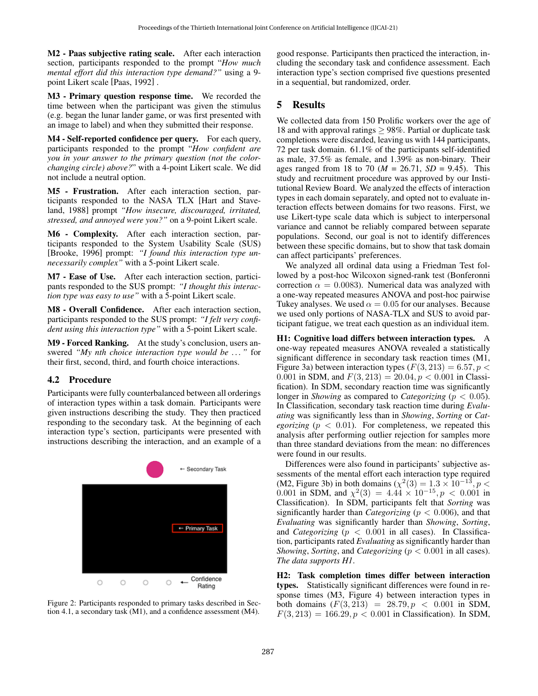M2 - Paas subjective rating scale. After each interaction section, participants responded to the prompt "*How much mental effort did this interaction type demand?"* using a 9 point Likert scale [\[Paas, 1992\]](#page-8-21) .

M3 - Primary question response time. We recorded the time between when the participant was given the stimulus (e.g. began the lunar lander game, or was first presented with an image to label) and when they submitted their response.

M4 - Self-reported confidence per query. For each query, participants responded to the prompt "*How confident are you in your answer to the primary question (not the colorchanging circle) above?*" with a 4-point Likert scale. We did not include a neutral option.

M5 - Frustration. After each interaction section, participants responded to the NASA TLX [\[Hart and Stave](#page-8-22)[land, 1988\]](#page-8-22) prompt *"How insecure, discouraged, irritated, stressed, and annoyed were you?"* on a 9-point Likert scale.

M6 - Complexity. After each interaction section, participants responded to the System Usability Scale (SUS) [\[Brooke, 1996\]](#page-7-13) prompt: *"I found this interaction type unnecessarily complex"* with a 5-point Likert scale.

M7 - Ease of Use. After each interaction section, participants responded to the SUS prompt: *"I thought this interaction type was easy to use"* with a 5-point Likert scale.

M8 - Overall Confidence. After each interaction section, participants responded to the SUS prompt: *"I felt very confident using this interaction type"* with a 5-point Likert scale.

M9 - Forced Ranking. At the study's conclusion, users answered *"My nth choice interaction type would be . . . "* for their first, second, third, and fourth choice interactions.

### 4.2 Procedure

Participants were fully counterbalanced between all orderings of interaction types within a task domain. Participants were given instructions describing the study. They then practiced responding to the secondary task. At the beginning of each interaction type's section, participants were presented with instructions describing the interaction, and an example of a

<span id="page-4-0"></span>

Figure 2: Participants responded to primary tasks described in Section [4.1,](#page-3-0) a secondary task (M1), and a confidence assessment (M4).

good response. Participants then practiced the interaction, including the secondary task and confidence assessment. Each interaction type's section comprised five questions presented in a sequential, but randomized, order.

# 5 Results

We collected data from 150 Prolific workers over the age of 18 and with approval ratings  $\geq$  98%. Partial or duplicate task completions were discarded, leaving us with 144 participants, 72 per task domain. 61.1% of the participants self-identified as male, 37.5% as female, and 1.39% as non-binary. Their ages ranged from 18 to 70 ( $M = 26.71$ ,  $SD = 9.45$ ). This study and recruitment procedure was approved by our Institutional Review Board. We analyzed the effects of interaction types in each domain separately, and opted not to evaluate interaction effects between domains for two reasons. First, we use Likert-type scale data which is subject to interpersonal variance and cannot be reliably compared between separate populations. Second, our goal is not to identify differences between these specific domains, but to show that task domain can affect participants' preferences.

We analyzed all ordinal data using a Friedman Test followed by a post-hoc Wilcoxon signed-rank test (Bonferonni correction  $\alpha = 0.0083$ . Numerical data was analyzed with a one-way repeated measures ANOVA and post-hoc pairwise Tukey analyses. We used  $\alpha = 0.05$  for our analyses. Because we used only portions of NASA-TLX and SUS to avoid participant fatigue, we treat each question as an individual item.

H1: Cognitive load differs between interaction types. A one-way repeated measures ANOVA revealed a statistically significant difference in secondary task reaction times (M1, Figure [3a\)](#page-5-0) between interaction types ( $F(3, 213) = 6.57, p <$ 0.001 in SDM, and  $F(3, 213) = 20.04, p < 0.001$  in Classification). In SDM, secondary reaction time was significantly longer in *Showing* as compared to *Categorizing* ( $p < 0.05$ ). In Classification, secondary task reaction time during *Evaluating* was significantly less than in *Showing*, *Sorting* or *Categorizing* ( $p < 0.01$ ). For completeness, we repeated this analysis after performing outlier rejection for samples more than three standard deviations from the mean: no differences were found in our results.

Differences were also found in participants' subjective assessments of the mental effort each interaction type required (M2, Figure [3b\)](#page-5-0) in both domains ( $\chi^2(3) = 1.3 \times 10^{-13}$ ,  $p <$ 0.001 in SDM, and  $\chi^2(3) = 4.44 \times 10^{-15}$ ,  $p < 0.001$  in Classification). In SDM, participants felt that *Sorting* was significantly harder than *Categorizing* ( $p < 0.006$ ), and that *Evaluating* was significantly harder than *Showing*, *Sorting*, and *Categorizing* ( $p < 0.001$  in all cases). In Classification, participants rated *Evaluating* as significantly harder than *Showing*, *Sorting*, and *Categorizing* ( $p < 0.001$  in all cases). *The data supports H1*.

H2: Task completion times differ between interaction types. Statistically significant differences were found in response times (M3, Figure [4\)](#page-5-1) between interaction types in both domains  $(F(3, 213) = 28.79, p < 0.001$  in SDM,  $F(3, 213) = 166.29, p < 0.001$  in Classification). In SDM,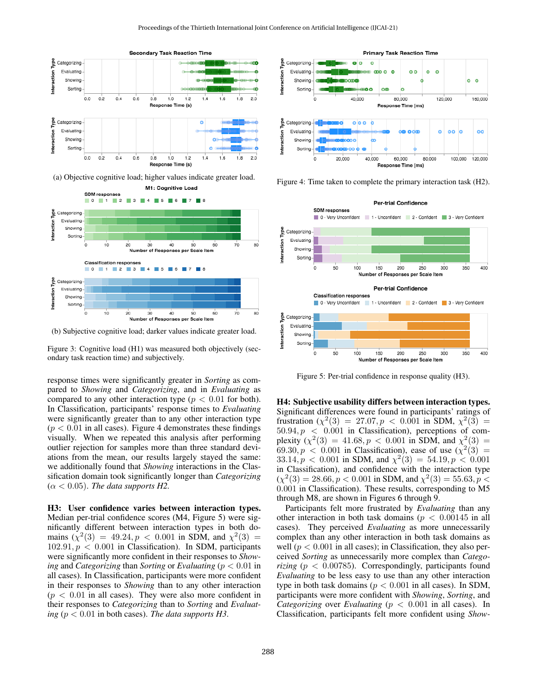<span id="page-5-0"></span>



(b) Subjective cognitive load; darker values indicate greater load.

Figure 3: Cognitive load (H1) was measured both objectively (secondary task reaction time) and subjectively.

response times were significantly greater in *Sorting* as compared to *Showing* and *Categorizing*, and in *Evaluating* as compared to any other interaction type ( $p < 0.01$  for both). In Classification, participants' response times to *Evaluating* were significantly greater than to any other interaction type  $(p < 0.01$  in all cases). Figure [4](#page-5-1) demonstrates these findings visually. When we repeated this analysis after performing outlier rejection for samples more than three standard deviations from the mean, our results largely stayed the same: we additionally found that *Showing* interactions in the Classification domain took significantly longer than *Categorizing*  $(\alpha < 0.05)$ . *The data supports H2*.

H3: User confidence varies between interaction types. Median per-trial confidence scores (M4, Figure [5\)](#page-5-2) were significantly different between interaction types in both domains  $(\chi^2(3) = 49.24, p < 0.001$  in SDM, and  $\chi^2(3) =$  $102.91, p < 0.001$  in Classification). In SDM, participants were significantly more confident in their responses to *Showing* and *Categorizing* than *Sorting* or *Evaluating* (p < 0.01 in all cases). In Classification, participants were more confident in their responses to *Showing* than to any other interaction  $(p < 0.01$  in all cases). They were also more confident in their responses to *Categorizing* than to *Sorting* and *Evaluating* ( $p < 0.01$  *in both cases). The data supports H3.* 

<span id="page-5-1"></span>

Figure 4: Time taken to complete the primary interaction task (H2).

<span id="page-5-2"></span>

Figure 5: Per-trial confidence in response quality (H3).

H4: Subjective usability differs between interaction types. Significant differences were found in participants' ratings of frustration ( $\chi^2(3)$  = 27.07,  $p$  < 0.001 in SDM,  $\chi^2(3)$  =  $50.94, p < 0.001$  in Classification), perceptions of complexity  $(\chi^2(3) = 41.68, p < 0.001$  in SDM, and  $\chi^2(3) =$ 69.30,  $p < 0.001$  in Classification), ease of use  $(\chi^2(3))$  =  $33.14, p < 0.001$  in SDM, and  $\chi^2(3) = 54.19, p < 0.001$ in Classification), and confidence with the interaction type  $(\chi^2(3) = 28.66, p < 0.001$  in SDM, and  $\chi^2(3) = 55.63, p <$ 0.001 in Classification). These results, corresponding to M5 through M8, are shown in Figures [6](#page-6-0) through [9.](#page-6-1)

Participants felt more frustrated by *Evaluating* than any other interaction in both task domains ( $p < 0.00145$  in all cases). They perceived *Evaluating* as more unnecessarily complex than any other interaction in both task domains as well ( $p < 0.001$  in all cases); in Classification, they also perceived *Sorting* as unnecessarily more complex than *Categorizing* ( $p < 0.00785$ ). Correspondingly, participants found *Evaluating* to be less easy to use than any other interaction type in both task domains ( $p < 0.001$  in all cases). In SDM, participants were more confident with *Showing*, *Sorting*, and *Categorizing* over *Evaluating* ( $p < 0.001$  in all cases). In Classification, participants felt more confident using *Show-*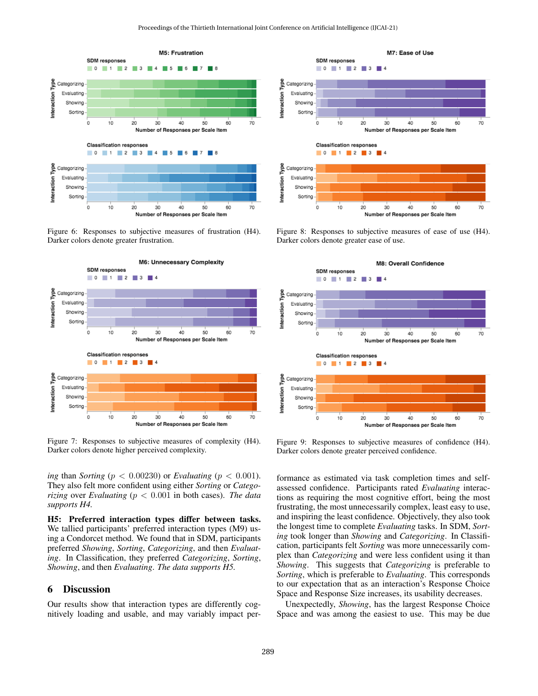<span id="page-6-0"></span>

Figure 6: Responses to subjective measures of frustration (H4). Darker colors denote greater frustration.



Figure 7: Responses to subjective measures of complexity (H4). Darker colors denote higher perceived complexity.

*ing* than *Sorting* ( $p < 0.00230$ ) or *Evaluating* ( $p < 0.001$ ). They also felt more confident using either *Sorting* or *Categorizing* over *Evaluating* (p < 0.001 in both cases). *The data supports H4.*

H5: Preferred interaction types differ between tasks. We tallied participants' preferred interaction types (M9) using a Condorcet method. We found that in SDM, participants preferred *Showing*, *Sorting*, *Categorizing*, and then *Evaluating*. In Classification, they preferred *Categorizing*, *Sorting*, *Showing*, and then *Evaluating*. *The data supports H5.*

### 6 Discussion

Our results show that interaction types are differently cognitively loading and usable, and may variably impact per-



Figure 8: Responses to subjective measures of ease of use (H4). Darker colors denote greater ease of use.

<span id="page-6-1"></span>

Figure 9: Responses to subjective measures of confidence (H4). Darker colors denote greater perceived confidence.

formance as estimated via task completion times and selfassessed confidence. Participants rated *Evaluating* interactions as requiring the most cognitive effort, being the most frustrating, the most unnecessarily complex, least easy to use, and inspiring the least confidence. Objectively, they also took the longest time to complete *Evaluating* tasks. In SDM, *Sorting* took longer than *Showing* and *Categorizing*. In Classification, participants felt *Sorting* was more unnecessarily complex than *Categorizing* and were less confident using it than *Showing*. This suggests that *Categorizing* is preferable to *Sorting*, which is preferable to *Evaluating*. This corresponds to our expectation that as an interaction's Response Choice Space and Response Size increases, its usability decreases.

Unexpectedly, *Showing*, has the largest Response Choice Space and was among the easiest to use. This may be due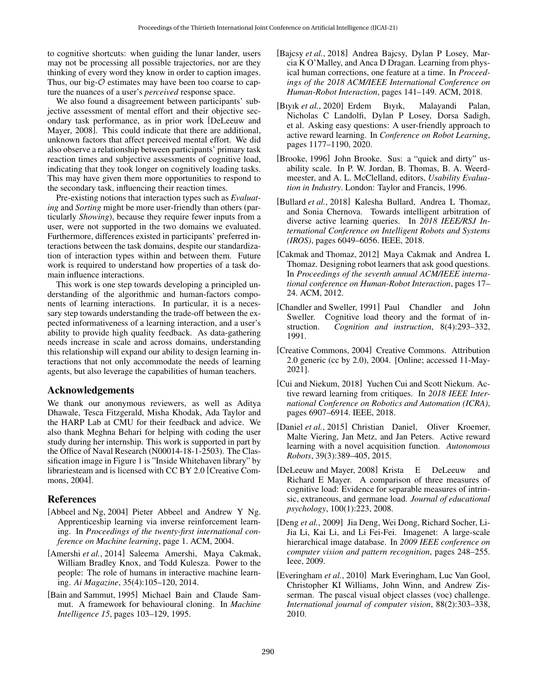to cognitive shortcuts: when guiding the lunar lander, users may not be processing all possible trajectories, nor are they thinking of every word they know in order to caption images. Thus, our big- $\mathcal O$  estimates may have been too coarse to capture the nuances of a user's *perceived* response space.

We also found a disagreement between participants' subjective assessment of mental effort and their objective secondary task performance, as in prior work [\[DeLeeuw and](#page-7-12) [Mayer, 2008\]](#page-7-12). This could indicate that there are additional, unknown factors that affect perceived mental effort. We did also observe a relationship between participants' primary task reaction times and subjective assessments of cognitive load, indicating that they took longer on cognitively loading tasks. This may have given them more opportunities to respond to the secondary task, influencing their reaction times.

Pre-existing notions that interaction types such as *Evaluating* and *Sorting* might be more user-friendly than others (particularly *Showing*), because they require fewer inputs from a user, were not supported in the two domains we evaluated. Furthermore, differences existed in participants' preferred interactions between the task domains, despite our standardization of interaction types within and between them. Future work is required to understand how properties of a task domain influence interactions.

This work is one step towards developing a principled understanding of the algorithmic and human-factors components of learning interactions. In particular, it is a necessary step towards understanding the trade-off between the expected informativeness of a learning interaction, and a user's ability to provide high quality feedback. As data-gathering needs increase in scale and across domains, understanding this relationship will expand our ability to design learning interactions that not only accommodate the needs of learning agents, but also leverage the capabilities of human teachers.

### Acknowledgements

We thank our anonymous reviewers, as well as Aditya Dhawale, Tesca Fitzgerald, Misha Khodak, Ada Taylor and the HARP Lab at CMU for their feedback and advice. We also thank Meghna Behari for helping with coding the user study during her internship. This work is supported in part by the Office of Naval Research (N00014-18-1-2503). The Classification image in Figure 1 is "Inside Whitehaven library" by librariesteam and is licensed with CC BY 2.0 [\[Creative Com](#page-7-14)[mons, 2004\]](#page-7-14).

# References

- <span id="page-7-1"></span>[Abbeel and Ng, 2004] Pieter Abbeel and Andrew Y Ng. Apprenticeship learning via inverse reinforcement learning. In *Proceedings of the twenty-first international conference on Machine learning*, page 1. ACM, 2004.
- <span id="page-7-5"></span>[Amershi *et al.*, 2014] Saleema Amershi, Maya Cakmak, William Bradley Knox, and Todd Kulesza. Power to the people: The role of humans in interactive machine learning. *Ai Magazine*, 35(4):105–120, 2014.
- <span id="page-7-8"></span>[Bain and Sammut, 1995] Michael Bain and Claude Sammut. A framework for behavioural cloning. In *Machine Intelligence 15*, pages 103–129, 1995.
- <span id="page-7-3"></span>[Bajcsy *et al.*, 2018] Andrea Bajcsy, Dylan P Losey, Marcia K O'Malley, and Anca D Dragan. Learning from physical human corrections, one feature at a time. In *Proceedings of the 2018 ACM/IEEE International Conference on Human-Robot Interaction*, pages 141–149. ACM, 2018.
- <span id="page-7-11"></span>[Bıyık *et al.*, 2020] Erdem Bıyık, Malayandi Palan, Nicholas C Landolfi, Dylan P Losey, Dorsa Sadigh, et al. Asking easy questions: A user-friendly approach to active reward learning. In *Conference on Robot Learning*, pages 1177–1190, 2020.
- <span id="page-7-13"></span>[Brooke, 1996] John Brooke. Sus: a "quick and dirty" usability scale. In P. W. Jordan, B. Thomas, B. A. Weerdmeester, and A. L. McClelland, editors, *Usability Evaluation in Industry*. London: Taylor and Francis, 1996.
- <span id="page-7-4"></span>[Bullard *et al.*, 2018] Kalesha Bullard, Andrea L Thomaz, and Sonia Chernova. Towards intelligent arbitration of diverse active learning queries. In *2018 IEEE/RSJ International Conference on Intelligent Robots and Systems (IROS)*, pages 6049–6056. IEEE, 2018.
- <span id="page-7-7"></span>[Cakmak and Thomaz, 2012] Maya Cakmak and Andrea L Thomaz. Designing robot learners that ask good questions. In *Proceedings of the seventh annual ACM/IEEE international conference on Human-Robot Interaction*, pages 17– 24. ACM, 2012.
- <span id="page-7-6"></span>[Chandler and Sweller, 1991] Paul Chandler and John Sweller. Cognitive load theory and the format of instruction. *Cognition and instruction*, 8(4):293–332, 1991.
- <span id="page-7-14"></span>[Creative Commons, 2004] Creative Commons. Attribution 2.0 generic (cc by 2.0), 2004. [Online; accessed 11-May-2021].
- <span id="page-7-2"></span>[Cui and Niekum, 2018] Yuchen Cui and Scott Niekum. Active reward learning from critiques. In *2018 IEEE International Conference on Robotics and Automation (ICRA)*, pages 6907–6914. IEEE, 2018.
- <span id="page-7-0"></span>[Daniel et al., 2015] Christian Daniel, Oliver Kroemer, Malte Viering, Jan Metz, and Jan Peters. Active reward learning with a novel acquisition function. *Autonomous Robots*, 39(3):389–405, 2015.
- <span id="page-7-12"></span>[DeLeeuw and Mayer, 2008] Krista E DeLeeuw and Richard E Mayer. A comparison of three measures of cognitive load: Evidence for separable measures of intrinsic, extraneous, and germane load. *Journal of educational psychology*, 100(1):223, 2008.
- <span id="page-7-9"></span>[Deng *et al.*, 2009] Jia Deng, Wei Dong, Richard Socher, Li-Jia Li, Kai Li, and Li Fei-Fei. Imagenet: A large-scale hierarchical image database. In *2009 IEEE conference on computer vision and pattern recognition*, pages 248–255. Ieee, 2009.
- <span id="page-7-10"></span>[Everingham *et al.*, 2010] Mark Everingham, Luc Van Gool, Christopher KI Williams, John Winn, and Andrew Zisserman. The pascal visual object classes (voc) challenge. *International journal of computer vision*, 88(2):303–338, 2010.